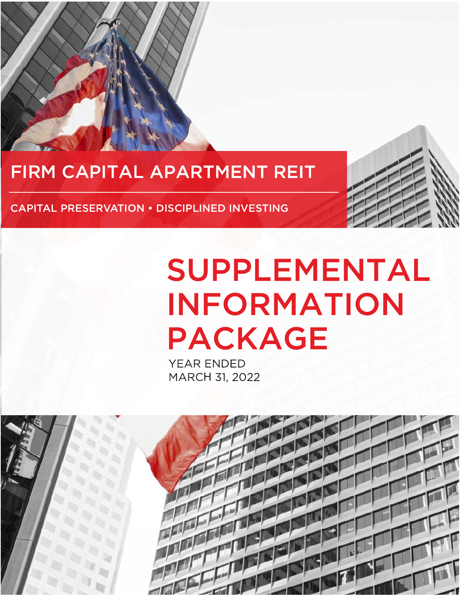

## FIRM CAPITAL APARTMENT REIT

CAPITAL PRESERVATION • DISCIPLINED INVESTING

# **SUPPLEMENTAL INFORMATION PACKAGE**

**YEAR ENDED** MARCH 31, 2022

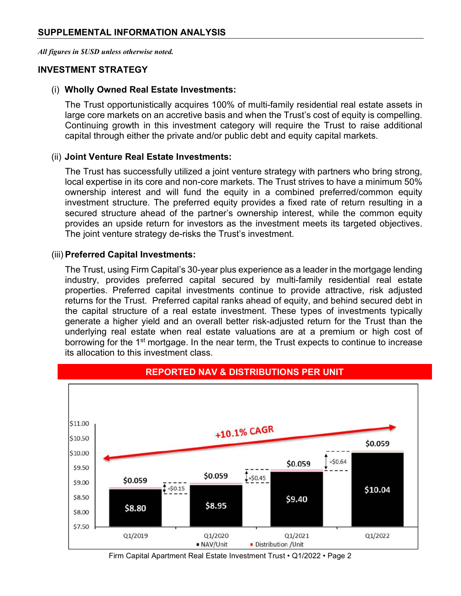All figures in \$USD unless otherwise noted.

#### INVESTMENT STRATEGY

### (i) Wholly Owned Real Estate Investments:

The Trust opportunistically acquires 100% of multi-family residential real estate assets in large core markets on an accretive basis and when the Trust's cost of equity is compelling. Continuing growth in this investment category will require the Trust to raise additional capital through either the private and/or public debt and equity capital markets.

#### (ii) Joint Venture Real Estate Investments:

The Trust has successfully utilized a joint venture strategy with partners who bring strong, local expertise in its core and non-core markets. The Trust strives to have a minimum 50% ownership interest and will fund the equity in a combined preferred/common equity investment structure. The preferred equity provides a fixed rate of return resulting in a secured structure ahead of the partner's ownership interest, while the common equity provides an upside return for investors as the investment meets its targeted objectives. The joint venture strategy de-risks the Trust's investment.

#### (iii) Preferred Capital Investments:

The Trust, using Firm Capital's 30-year plus experience as a leader in the mortgage lending industry, provides preferred capital secured by multi-family residential real estate properties. Preferred capital investments continue to provide attractive, risk adjusted returns for the Trust. Preferred capital ranks ahead of equity, and behind secured debt in the capital structure of a real estate investment. These types of investments typically generate a higher yield and an overall better risk-adjusted return for the Trust than the underlying real estate when real estate valuations are at a premium or high cost of borrowing for the 1<sup>st</sup> mortgage. In the near term, the Trust expects to continue to increase its allocation to this investment class.



Firm Capital Apartment Real Estate Investment Trust • Q1/2022 • Page 2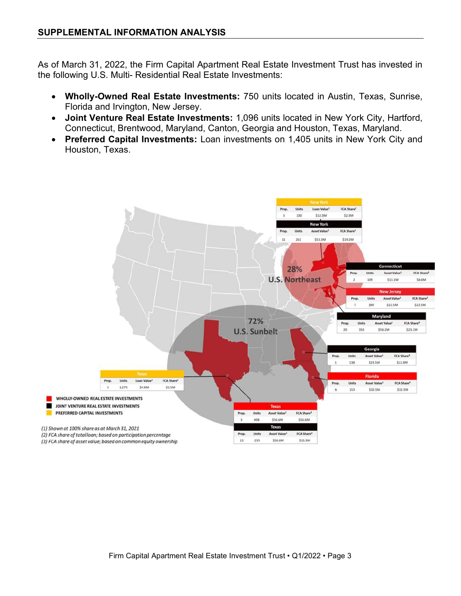As of March 31, 2022, the Firm Capital Apartment Real Estate Investment Trust has invested in the following U.S. Multi- Residential Real Estate Investments:

- Wholly-Owned Real Estate Investments: 750 units located in Austin, Texas, Sunrise, Florida and Irvington, New Jersey.
- Joint Venture Real Estate Investments: 1,096 units located in New York City, Hartford, Connecticut, Brentwood, Maryland, Canton, Georgia and Houston, Texas, Maryland.
- Preferred Capital Investments: Loan investments on 1,405 units in New York City and Houston, Texas.

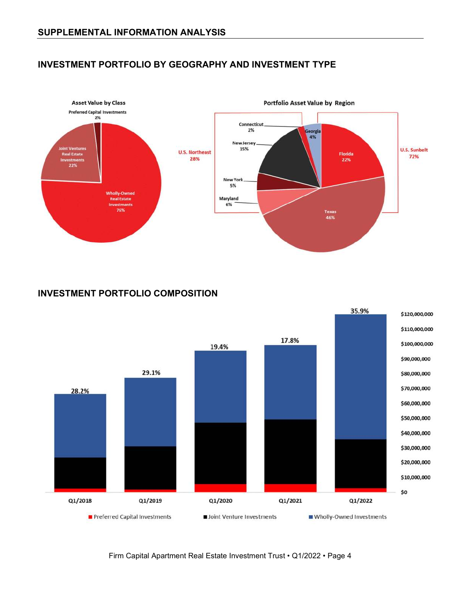#### INVESTMENT PORTFOLIO BY GEOGRAPHY AND INVESTMENT TYPE



#### INVESTMENT PORTFOLIO COMPOSITION



Firm Capital Apartment Real Estate Investment Trust • Q1/2022 • Page 4